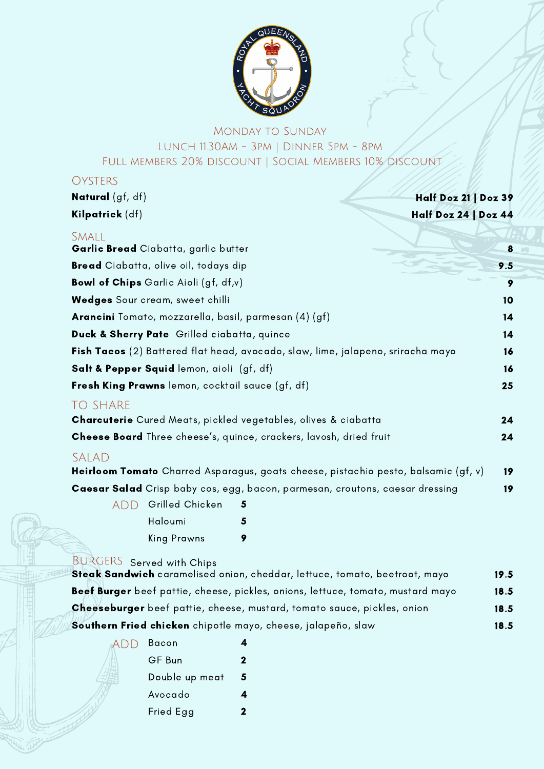

## Monday to Sunday Lunch 11.30Am - 3pm | Dinner 5pm - 8pm Full members 20% discount | Social Members 10% discount

## **OYSTERS**

| <b>Natural</b> (gf, df)                                               | Half Doz 21   Doz 39                                                               |      |
|-----------------------------------------------------------------------|------------------------------------------------------------------------------------|------|
| Kilpatrick (df)                                                       | Half Doz 24   Doz 44                                                               |      |
| <b>SMALL</b><br>Garlic Bread Ciabatta, garlic butter                  |                                                                                    | 8    |
| Bread Ciabatta, olive oil, todays dip                                 |                                                                                    | 9.5  |
| <b>Bowl of Chips</b> Garlic Aioli (gf, df,v)                          |                                                                                    | 9    |
| Wedges Sour cream, sweet chilli                                       |                                                                                    | 10   |
| Arancini Tomato, mozzarella, basil, parmesan (4) (gf)                 |                                                                                    | 14   |
| Duck & Sherry Pate Grilled ciabatta, quince                           |                                                                                    | 14   |
|                                                                       | Fish Tacos (2) Battered flat head, avocado, slaw, lime, jalapeno, sriracha mayo    | 16   |
| Salt & Pepper Squid lemon, aioli (gf, df)                             |                                                                                    | 16   |
| Fresh King Prawns lemon, cocktail sauce (gf, df)                      |                                                                                    | 25   |
| <b>TO SHARE</b>                                                       |                                                                                    |      |
| <b>Charcuterie</b> Cured Meats, pickled vegetables, olives & ciabatta |                                                                                    | 24   |
|                                                                       | Cheese Board Three cheese's, quince, crackers, lavosh, dried fruit                 | 24   |
| SALAD                                                                 | Heirloom Tomato Charred Asparagus, goats cheese, pistachio pesto, balsamic (gf, v) | 19   |
|                                                                       | Caesar Salad Crisp baby cos, egg, bacon, parmesan, croutons, caesar dressing       | 19   |
| Grilled Chicken<br><b>ADD</b>                                         | 5                                                                                  |      |
| Haloumi                                                               | 5                                                                                  |      |
| <b>King Prawns</b>                                                    | 9                                                                                  |      |
| <b>BURGERS</b> Served with Chips                                      | Steak Sandwich caramelised onion, cheddar, lettuce, tomato, beetroot, mayo         | 19.5 |
|                                                                       | Beef Burger beef pattie, cheese, pickles, onions, lettuce, tomato, mustard mayo    | 18.5 |

| Cheeseburger beef pattie, cheese, mustard, tomato sauce, pickles, onion |  |  |  | 18.5 |
|-------------------------------------------------------------------------|--|--|--|------|
|                                                                         |  |  |  |      |

18.5

Southern Fried chicken chipotle mayo, cheese, jalapeño, slaw

| add | Bacon          |   |
|-----|----------------|---|
|     | GF Bun         | 2 |
|     | Double up meat | 5 |
|     | Avocado        |   |
|     | Fried Egg      | 2 |
|     |                |   |